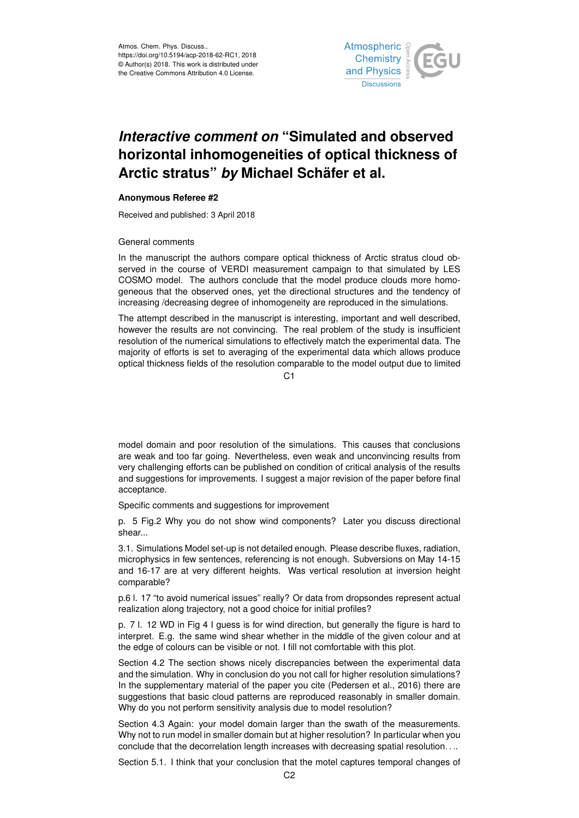

## *Interactive comment on* **"Simulated and observed horizontal inhomogeneities of optical thickness of Arctic stratus"** *by* **Michael Schäfer et al.**

## **Anonymous Referee #2**

Received and published: 3 April 2018

## General comments

In the manuscript the authors compare optical thickness of Arctic stratus cloud observed in the course of VERDI measurement campaign to that simulated by LES COSMO model. The authors conclude that the model produce clouds more homogeneous that the observed ones, yet the directional structures and the tendency of increasing /decreasing degree of inhomogeneity are reproduced in the simulations.

The attempt described in the manuscript is interesting, important and well described, however the results are not convincing. The real problem of the study is insufficient resolution of the numerical simulations to effectively match the experimental data. The majority of efforts is set to averaging of the experimental data which allows produce optical thickness fields of the resolution comparable to the model output due to limited

C1

model domain and poor resolution of the simulations. This causes that conclusions are weak and too far going. Nevertheless, even weak and unconvincing results from very challenging efforts can be published on condition of critical analysis of the results and suggestions for improvements. I suggest a major revision of the paper before final acceptance.

Specific comments and suggestions for improvement

p. 5 Fig.2 Why you do not show wind components? Later you discuss directional shear...

3.1. Simulations Model set-up is not detailed enough. Please describe fluxes, radiation, microphysics in few sentences, referencing is not enough. Subversions on May 14-15 and 16-17 are at very different heights. Was vertical resolution at inversion height comparable?

p.6 l. 17 "to avoid numerical issues" really? Or data from dropsondes represent actual realization along trajectory, not a good choice for initial profiles?

p. 7 l. 12 WD in Fig 4 I guess is for wind direction, but generally the figure is hard to interpret. E.g. the same wind shear whether in the middle of the given colour and at the edge of colours can be visible or not. I fill not comfortable with this plot.

Section 4.2 The section shows nicely discrepancies between the experimental data and the simulation. Why in conclusion do you not call for higher resolution simulations? In the supplementary material of the paper you cite (Pedersen et al., 2016) there are suggestions that basic cloud patterns are reproduced reasonably in smaller domain. Why do you not perform sensitivity analysis due to model resolution?

Section 4.3 Again: your model domain larger than the swath of the measurements. Why not to run model in smaller domain but at higher resolution? In particular when you conclude that the decorrelation length increases with decreasing spatial resolution. . ..

Section 5.1. I think that your conclusion that the motel captures temporal changes of